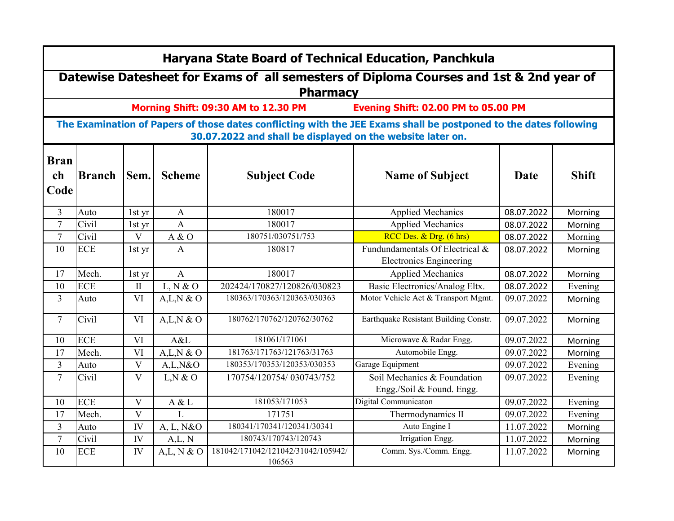|                           | Haryana State Board of Technical Education, Panchkula                                                                                                                           |                         |               |                                              |                                                                   |            |              |  |  |  |  |  |  |
|---------------------------|---------------------------------------------------------------------------------------------------------------------------------------------------------------------------------|-------------------------|---------------|----------------------------------------------|-------------------------------------------------------------------|------------|--------------|--|--|--|--|--|--|
|                           | Datewise Datesheet for Exams of all semesters of Diploma Courses and 1st & 2nd year of<br><b>Pharmacy</b>                                                                       |                         |               |                                              |                                                                   |            |              |  |  |  |  |  |  |
|                           | Morning Shift: 09:30 AM to 12.30 PM<br>Evening Shift: 02.00 PM to 05.00 PM                                                                                                      |                         |               |                                              |                                                                   |            |              |  |  |  |  |  |  |
|                           | The Examination of Papers of those dates conflicting with the JEE Exams shall be postponed to the dates following<br>30.07.2022 and shall be displayed on the website later on. |                         |               |                                              |                                                                   |            |              |  |  |  |  |  |  |
| <b>Bran</b><br>ch<br>Code | <b>Branch</b>                                                                                                                                                                   | Sem.                    | <b>Scheme</b> | <b>Subject Code</b>                          | <b>Name of Subject</b>                                            | Date       | <b>Shift</b> |  |  |  |  |  |  |
| 3                         | Auto                                                                                                                                                                            | $1st$ yr                | $\mathbf{A}$  | 180017                                       | <b>Applied Mechanics</b>                                          | 08.07.2022 | Morning      |  |  |  |  |  |  |
| $\overline{7}$            | Civil                                                                                                                                                                           | $1st$ yr                | $\mathbf{A}$  | 180017                                       | <b>Applied Mechanics</b>                                          | 08.07.2022 | Morning      |  |  |  |  |  |  |
| $\tau$                    | Civil                                                                                                                                                                           | V                       | A & O         | 180751/030751/753                            | RCC Des. & Drg. (6 hrs)                                           | 08.07.2022 | Morning      |  |  |  |  |  |  |
| 10                        | <b>ECE</b>                                                                                                                                                                      | $1st$ yr                | A             | 180817                                       | Fundundamentals Of Electrical &<br><b>Electronics Engineering</b> | 08.07.2022 | Morning      |  |  |  |  |  |  |
| 17                        | Mech.                                                                                                                                                                           | $1st$ yr                | $\mathbf{A}$  | 180017                                       | <b>Applied Mechanics</b>                                          | 08.07.2022 | Morning      |  |  |  |  |  |  |
| 10                        | <b>ECE</b>                                                                                                                                                                      | $\mathbf{I}$            | L, N & O      | 202424/170827/120826/030823                  | Basic Electronics/Analog Eltx.                                    | 08.07.2022 | Evening      |  |  |  |  |  |  |
| $\overline{3}$            | Auto                                                                                                                                                                            | VI                      | A,L,N & O     | 180363/170363/120363/030363                  | Motor Vehicle Act & Transport Mgmt.                               | 09.07.2022 | Morning      |  |  |  |  |  |  |
| $\overline{7}$            | Civil                                                                                                                                                                           | VI                      | A,L,N & O     | 180762/170762/120762/30762                   | Earthquake Resistant Building Constr.                             | 09.07.2022 | Morning      |  |  |  |  |  |  |
| 10                        | <b>ECE</b>                                                                                                                                                                      | VI                      | A&L           | 181061/171061                                | Microwave & Radar Engg.                                           | 09.07.2022 | Morning      |  |  |  |  |  |  |
| 17                        | Mech.                                                                                                                                                                           | VI                      | A,L,N & O     | 181763/171763/121763/31763                   | Automobile Engg.                                                  | 09.07.2022 | Morning      |  |  |  |  |  |  |
| $\overline{3}$            | Auto                                                                                                                                                                            | $\overline{\mathbf{V}}$ | A,L,N&O       | 180353/170353/120353/030353                  | Garage Equipment                                                  | 09.07.2022 | Evening      |  |  |  |  |  |  |
| $\tau$                    | Civil                                                                                                                                                                           | V                       | L, N & O      | 170754/120754/030743/752                     | Soil Mechanics & Foundation<br>Engg./Soil & Found. Engg.          | 09.07.2022 | Evening      |  |  |  |  |  |  |
| 10                        | <b>ECE</b>                                                                                                                                                                      | V                       | A & L         | 181053/171053                                | Digital Communicaton                                              | 09.07.2022 | Evening      |  |  |  |  |  |  |
| 17                        | Mech.                                                                                                                                                                           | V                       | $\mathbf{L}$  | 171751                                       | Thermodynamics II                                                 | 09.07.2022 | Evening      |  |  |  |  |  |  |
| $\overline{3}$            | Auto                                                                                                                                                                            | IV                      | A, L, N&O     | 180341/170341/120341/30341                   | Auto Engine I                                                     | 11.07.2022 | Morning      |  |  |  |  |  |  |
| $\tau$                    | Civil                                                                                                                                                                           | IV                      | A,L, N        | 180743/170743/120743                         | Irrigation Engg.                                                  | 11.07.2022 | Morning      |  |  |  |  |  |  |
| 10                        | <b>ECE</b>                                                                                                                                                                      | IV                      | A,L, N & O    | 181042/171042/121042/31042/105942/<br>106563 | Comm. Sys./Comm. Engg.                                            | 11.07.2022 | Morning      |  |  |  |  |  |  |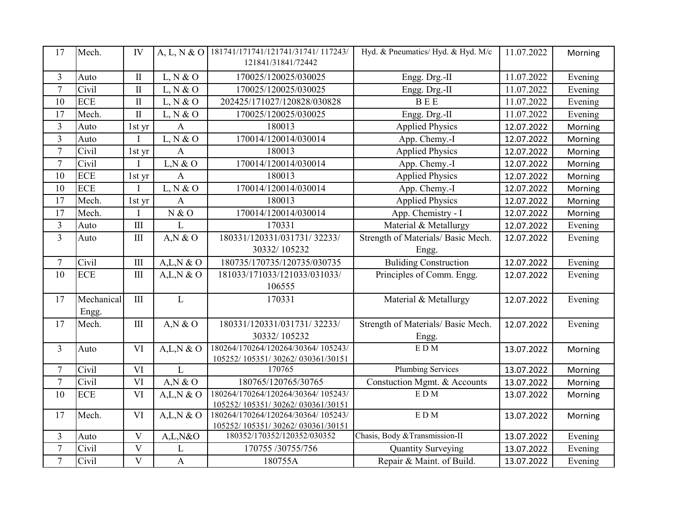| 17               | Mech.      | IV                          | A, L, N & O    | 181741/171741/121741/31741/117243/<br>121841/31841/72442  | Hyd. & Pneumatics/ Hyd. & Hyd. M/c  | 11.07.2022 | Morning |
|------------------|------------|-----------------------------|----------------|-----------------------------------------------------------|-------------------------------------|------------|---------|
| 3                | Auto       | $\;$ II                     | L, N & O       | 170025/120025/030025                                      | Engg. Drg.-II                       | 11.07.2022 | Evening |
| $\overline{7}$   | Civil      | $\overline{\mathbf{I}}$     | L, N & O       | 170025/120025/030025                                      | Engg. Drg.-II                       | 11.07.2022 | Evening |
| 10               | <b>ECE</b> | $\rm II$                    | L, N & O       | 202425/171027/120828/030828                               | <b>BEE</b>                          | 11.07.2022 | Evening |
| 17               | Mech.      | $\rm II$                    | L, N & O       | 170025/120025/030025                                      | Engg. Drg.-II                       | 11.07.2022 | Evening |
| 3                | Auto       | 1st yr                      | A              | 180013                                                    | <b>Applied Physics</b>              | 12.07.2022 | Morning |
| $\overline{3}$   | Auto       |                             | L, N & O       | 170014/120014/030014                                      | App. Chemy.-I                       | 12.07.2022 | Morning |
| $\tau$           | Civil      | 1st yr                      | $\mathbf{A}$   | 180013                                                    | <b>Applied Physics</b>              | 12.07.2022 | Morning |
| $\tau$           | Civil      |                             | L, N & O       | 170014/120014/030014                                      | App. Chemy.-I                       | 12.07.2022 | Morning |
| 10               | <b>ECE</b> | 1st yr                      | $\overline{A}$ | 180013                                                    | <b>Applied Physics</b>              | 12.07.2022 | Morning |
| 10               | <b>ECE</b> |                             | L, N & O       | 170014/120014/030014                                      | App. Chemy.-I                       | 12.07.2022 | Morning |
| 17               | Mech.      | 1st yr                      | $\mathbf{A}$   | 180013                                                    | <b>Applied Physics</b>              | 12.07.2022 | Morning |
| 17               | Mech.      | $\mathbf I$                 | N & O          | 170014/120014/030014                                      | App. Chemistry - I                  | 12.07.2022 | Morning |
| $\overline{3}$   | Auto       | III                         | L              | 170331                                                    | Material & Metallurgy               | 12.07.2022 | Evening |
| $\overline{3}$   | Auto       | III                         | $A,N \& O$     | 180331/120331/031731/32233/                               | Strength of Materials/ Basic Mech.  | 12.07.2022 | Evening |
|                  |            |                             |                | 30332/105232                                              | Engg.                               |            |         |
| $\tau$           | Civil      | $\mathop{\rm III}$          | A,L,N & O      | 180735/170735/120735/030735                               | <b>Buliding Construction</b>        | 12.07.2022 | Evening |
| 10               | <b>ECE</b> | $\mathop{\rm III}\nolimits$ | A,L,N & O      | 181033/171033/121033/031033/                              | Principles of Comm. Engg.           | 12.07.2022 | Evening |
|                  |            |                             |                | 106555                                                    |                                     |            |         |
| 17               | Mechanical | $\mathbf{III}$              | $\mathbf{L}$   | 170331                                                    | Material & Metallurgy               | 12.07.2022 | Evening |
|                  | Engg.      |                             |                |                                                           |                                     |            |         |
| 17               | Mech.      | $\mathop{\rm III}$          | A,N & O        | 180331/120331/031731/32233/                               | Strength of Materials/ Basic Mech.  | 12.07.2022 | Evening |
|                  |            |                             |                | 30332/105232                                              | Engg.                               |            |         |
| 3                | Auto       | VI                          | A,L,N & O      | 180264/170264/120264/30364/105243/                        | EDM                                 | 13.07.2022 | Morning |
|                  | Civil      |                             | L              | 105252/ 105351/ 30262/ 030361/30151<br>170765             | <b>Plumbing Services</b>            |            |         |
| $\tau$<br>$\tau$ |            | VI<br>VI                    |                |                                                           |                                     | 13.07.2022 | Morning |
| 10               | Civil      | VI                          | $A,N \& O$     | 180765/120765/30765<br>180264/170264/120264/30364/105243/ | Constuction Mgmt. & Accounts<br>EDM | 13.07.2022 | Morning |
|                  | <b>ECE</b> |                             | A,L,N & O      | 105252/ 105351/ 30262/ 030361/30151                       |                                     | 13.07.2022 | Morning |
| 17               | Mech.      | VI                          | A,L,N & O      | 180264/170264/120264/30364/105243/                        | EDM                                 | 13.07.2022 | Morning |
|                  |            |                             |                | 105252/ 105351/ 30262/ 030361/30151                       |                                     |            |         |
| $\mathfrak{Z}$   | Auto       | V                           | A,L,N&O        | 180352/170352/120352/030352                               | Chasis, Body & Transmission-II      | 13.07.2022 | Evening |
| $\boldsymbol{7}$ | Civil      | $\mathbf V$                 | L              | 170755/30755/756                                          | Quantity Surveying                  | 13.07.2022 | Evening |
| $\overline{7}$   | Civil      | $\mathbf{V}$                | $\mathbf{A}$   | 180755A                                                   | Repair & Maint. of Build.           | 13.07.2022 | Evening |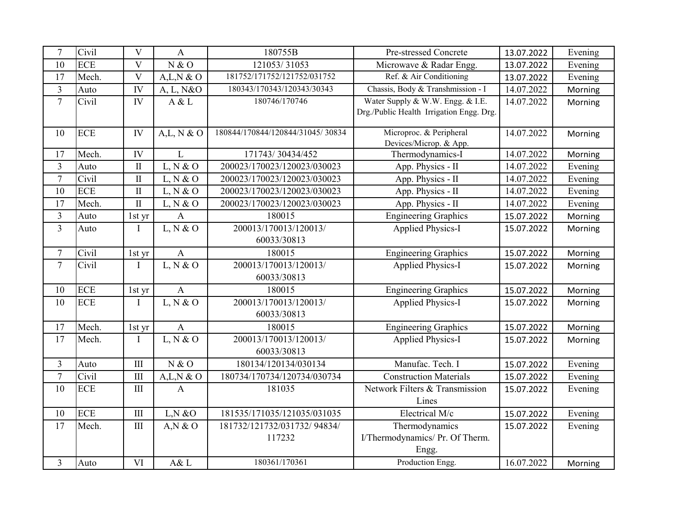| $\tau$         | Civil      | V                           | A            | 180755B                               | Pre-stressed Concrete                                                        | 13.07.2022 | Evening |
|----------------|------------|-----------------------------|--------------|---------------------------------------|------------------------------------------------------------------------------|------------|---------|
| 10             | <b>ECE</b> | V                           | N & O        | 121053/31053                          | Microwave & Radar Engg.                                                      | 13.07.2022 | Evening |
| 17             | Mech.      | V                           | A,L,N & O    | 181752/171752/121752/031752           | Ref. & Air Conditioning                                                      | 13.07.2022 | Evening |
| $\overline{3}$ | Auto       | IV                          | A, L, N&O    | 180343/170343/120343/30343            | Chassis, Body & Transhmission - I                                            | 14.07.2022 | Morning |
| $\tau$         | Civil      | IV                          | A & L        | 180746/170746                         | Water Supply & W.W. Engg. & I.E.<br>Drg./Public Health Irrigation Engg. Drg. | 14.07.2022 | Morning |
| 10             | <b>ECE</b> | IV                          | A,L, N & O   | 180844/170844/120844/31045/30834      | Microproc. & Peripheral<br>Devices/Microp. & App.                            | 14.07.2022 | Morning |
| 17             | Mech.      | IV                          | L            | 171743/30434/452                      | Thermodynamics-I                                                             | 14.07.2022 | Morning |
| $\overline{3}$ | Auto       | $\mathbf{I}$                | L, N & O     | 200023/170023/120023/030023           | App. Physics - II                                                            | 14.07.2022 | Evening |
| $\tau$         | Civil      | $\mathbf{I}$                | L, N & O     | 200023/170023/120023/030023           | App. Physics - II                                                            | 14.07.2022 | Evening |
| 10             | <b>ECE</b> | $\mathbf{I}$                | L, N & O     | 200023/170023/120023/030023           | App. Physics - II                                                            | 14.07.2022 | Evening |
| 17             | Mech.      | $\mathbf{I}$                | L, N & O     | 200023/170023/120023/030023           | App. Physics - II                                                            | 14.07.2022 | Evening |
| 3              | Auto       | 1st yr                      | $\mathbf{A}$ | 180015                                | <b>Engineering Graphics</b>                                                  | 15.07.2022 | Morning |
| $\overline{3}$ | Auto       | Ι.                          | L, N & O     | 200013/170013/120013/<br>60033/30813  | <b>Applied Physics-I</b>                                                     | 15.07.2022 | Morning |
| $\tau$         | Civil      | 1st yr                      | $\mathbf{A}$ | 180015                                | <b>Engineering Graphics</b>                                                  | 15.07.2022 | Morning |
| $\tau$         | Civil      | T                           | L, N & O     | 200013/170013/120013/<br>60033/30813  | <b>Applied Physics-I</b>                                                     | 15.07.2022 | Morning |
| 10             | <b>ECE</b> | 1st yr                      | $\mathbf{A}$ | 180015                                | <b>Engineering Graphics</b>                                                  | 15.07.2022 | Morning |
| 10             | <b>ECE</b> | I                           | L, N & O     | 200013/170013/120013/<br>60033/30813  | <b>Applied Physics-I</b>                                                     | 15.07.2022 | Morning |
| 17             | Mech.      | 1st yr                      | $\mathbf{A}$ | 180015                                | <b>Engineering Graphics</b>                                                  | 15.07.2022 | Morning |
| 17             | Mech.      | I                           | L, N & O     | 200013/170013/120013/<br>60033/30813  | <b>Applied Physics-I</b>                                                     | 15.07.2022 | Morning |
| 3              | Auto       | III                         | N & O        | 180134/120134/030134                  | Manufac. Tech. I                                                             | 15.07.2022 | Evening |
| $\overline{7}$ | Civil      | $\mathop{\rm III}\nolimits$ | $A,L,N$ & O  | 180734/170734/120734/030734           | <b>Construction Materials</b>                                                | 15.07.2022 | Evening |
| 10             | <b>ECE</b> | $\mathop{\rm III}$          | $\mathbf{A}$ | 181035                                | Network Filters & Transmission<br>Lines                                      | 15.07.2022 | Evening |
| 10             | <b>ECE</b> | $\rm III$                   | L, N & O     | 181535/171035/121035/031035           | Electrical M/c                                                               | 15.07.2022 | Evening |
| 17             | Mech.      | $\rm III$                   | $A,N \& O$   | 181732/121732/031732/94834/<br>117232 | Thermodynamics<br>I/Thermodynamics/ Pr. Of Therm.<br>Engg.                   | 15.07.2022 | Evening |
| 3              | Auto       | VI                          | A& L         | 180361/170361                         | Production Engg.                                                             | 16.07.2022 | Morning |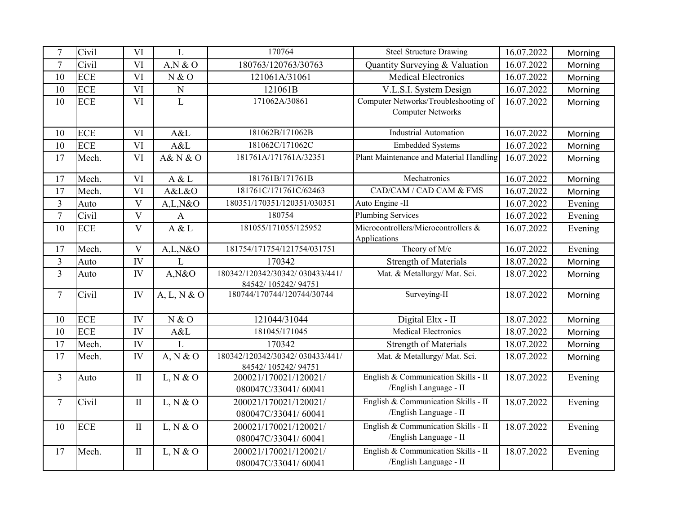| $\tau$         | Civil      | VI                      | L                       | 170764                                                | <b>Steel Structure Drawing</b>                      | 16.07.2022 | Morning |
|----------------|------------|-------------------------|-------------------------|-------------------------------------------------------|-----------------------------------------------------|------------|---------|
| $\tau$         | Civil      | VI                      | A,N & O                 | 180763/120763/30763                                   | Quantity Surveying & Valuation                      | 16.07.2022 | Morning |
| 10             | <b>ECE</b> | VI                      | N & O                   | 121061A/31061                                         | <b>Medical Electronics</b>                          | 16.07.2022 | Morning |
| 10             | <b>ECE</b> | VI                      | ${\bf N}$               | 121061B                                               | V.L.S.I. System Design                              | 16.07.2022 | Morning |
| 10             | <b>ECE</b> | VI                      | $\mathbf{L}$            | 171062A/30861                                         | Computer Networks/Troubleshooting of                | 16.07.2022 | Morning |
|                |            |                         |                         |                                                       | <b>Computer Networks</b>                            |            |         |
| 10             | <b>ECE</b> | VI                      | A&L                     | 181062B/171062B                                       | <b>Industrial Automation</b>                        | 16.07.2022 | Morning |
| 10             | <b>ECE</b> | VI                      | A&L                     | 181062C/171062C                                       | <b>Embedded Systems</b>                             | 16.07.2022 | Morning |
| 17             | Mech.      | VI                      | <b>A&amp; N &amp; O</b> | 181761A/171761A/32351                                 | Plant Maintenance and Material Handling             | 16.07.2022 | Morning |
| 17             | Mech.      | <b>VI</b>               | A & L                   | 181761B/171761B                                       | Mechatronics                                        | 16.07.2022 | Morning |
| 17             | Mech.      | VI                      | A&L&O                   | 181761C/171761C/62463                                 | CAD/CAM / CAD CAM & FMS                             | 16.07.2022 | Morning |
| $\overline{3}$ | Auto       | $\overline{\mathbf{V}}$ | A,L,N&O                 | 180351/170351/120351/030351                           | Auto Engine -II                                     | 16.07.2022 | Evening |
| $\tau$         | Civil      | V                       | $\mathbf{A}$            | 180754                                                | <b>Plumbing Services</b>                            | 16.07.2022 | Evening |
| 10             | <b>ECE</b> | $\mathbf{V}$            | A & L                   | 181055/171055/125952                                  | Microcontrollers/Microcontrollers &<br>Applications | 16.07.2022 | Evening |
| 17             | Mech.      | $\overline{\mathbf{V}}$ | A,L,N&O                 | 181754/171754/121754/031751                           | Theory of M/c                                       | 16.07.2022 | Evening |
| 3              | Auto       | IV                      | L                       | 170342                                                | <b>Strength of Materials</b>                        | 18.07.2022 | Morning |
| $\overline{3}$ | Auto       | IV                      | A, N&O                  | 180342/120342/30342/030433/441/                       | Mat. & Metallurgy/ Mat. Sci.                        | 18.07.2022 | Morning |
|                |            |                         |                         | 84542/105242/94751                                    |                                                     |            |         |
| $\tau$         | Civil      | IV                      | A, L, N & O             | 180744/170744/120744/30744                            | Surveying-II                                        | 18.07.2022 | Morning |
| 10             | <b>ECE</b> | IV                      | N & O                   | 121044/31044                                          | Digital Eltx - II                                   | 18.07.2022 | Morning |
| 10             | <b>ECE</b> | IV                      | A&L                     | 181045/171045                                         | <b>Medical Electronics</b>                          | 18.07.2022 | Morning |
| 17             | Mech.      | IV                      | L                       | 170342                                                | <b>Strength of Materials</b>                        | 18.07.2022 | Morning |
| 17             | Mech.      | IV                      | A, N & O                | 180342/120342/30342/030433/441/<br>84542/105242/94751 | Mat. & Metallurgy/ Mat. Sci.                        | 18.07.2022 | Morning |
| 3              | Auto       | $\mathbf{I}$            | L, N & O                | 200021/170021/120021/                                 | English & Communication Skills - II                 | 18.07.2022 | Evening |
|                |            |                         |                         | 080047C/33041/60041                                   | /English Language - II                              |            |         |
| $\overline{7}$ | Civil      | $\rm II$                | L, N & O                | 200021/170021/120021/                                 | English & Communication Skills - II                 | 18.07.2022 | Evening |
|                |            |                         |                         | 080047C/33041/60041                                   | /English Language - II                              |            |         |
| 10             | <b>ECE</b> | $\;$ II                 | L, N & O                | 200021/170021/120021/                                 | English & Communication Skills - II                 | 18.07.2022 | Evening |
|                |            |                         |                         | 080047C/33041/60041                                   | /English Language - II                              |            |         |
| 17             | Mech.      | $\rm II$                | L, N & O                | 200021/170021/120021/                                 | English & Communication Skills - II                 | 18.07.2022 | Evening |
|                |            |                         |                         | 080047C/33041/60041                                   | /English Language - II                              |            |         |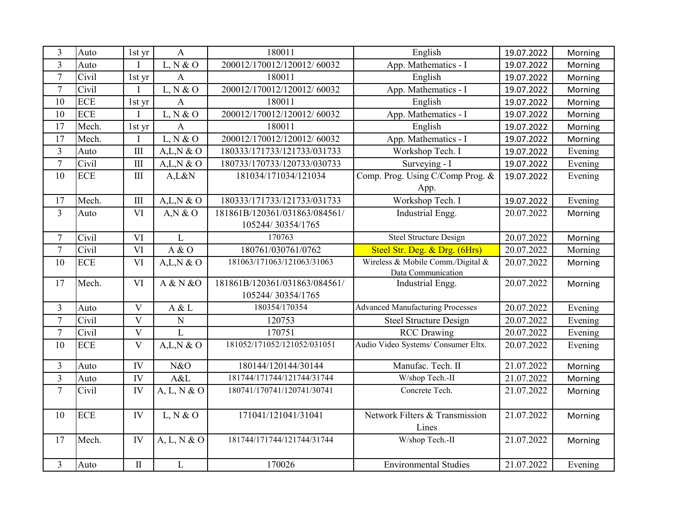| 3              | Auto       | $1st$ yr                | $\mathbf{A}$ | 180011                        | English                                 | 19.07.2022 | Morning |
|----------------|------------|-------------------------|--------------|-------------------------------|-----------------------------------------|------------|---------|
| 3              | Auto       | T                       | L, N & O     | 200012/170012/120012/60032    | App. Mathematics - I                    | 19.07.2022 | Morning |
| $\overline{7}$ | Civil      | 1st yr                  | $\mathbf{A}$ | 180011                        | English                                 | 19.07.2022 | Morning |
| $\overline{7}$ | Civil      | $\mathbf{I}$            | L, N & O     | 200012/170012/120012/60032    | App. Mathematics - I                    | 19.07.2022 | Morning |
| 10             | <b>ECE</b> | 1st yr                  | $\mathbf{A}$ | 180011                        | English                                 | 19.07.2022 | Morning |
| 10             | <b>ECE</b> |                         | L, N & O     | 200012/170012/120012/60032    | App. Mathematics - I                    | 19.07.2022 | Morning |
| 17             | Mech.      | 1st yr                  | $\mathbf{A}$ | 180011                        | English                                 | 19.07.2022 | Morning |
| 17             | Mech.      | T                       | L, N & O     | 200012/170012/120012/60032    | App. Mathematics - I                    | 19.07.2022 | Morning |
| 3              | Auto       | $\rm III$               | A,L,N & O    | 180333/171733/121733/031733   | Workshop Tech. I                        | 19.07.2022 | Evening |
| $\overline{7}$ | Civil      | III                     | A,L,N & O    | 180733/170733/120733/030733   | Surveying - I                           | 19.07.2022 | Evening |
| 10             | <b>ECE</b> | $\mathop{\rm III}$      | A,L&N        | 181034/171034/121034          | Comp. Prog. Using C/Comp Prog. &        | 19.07.2022 | Evening |
|                |            |                         |              |                               | App.                                    |            |         |
| 17             | Mech.      | $\mathop{\rm III}$      | $A,L,N \& O$ | 180333/171733/121733/031733   | Workshop Tech. I                        | 19.07.2022 | Evening |
| $\overline{3}$ | Auto       | VI                      | $A,N \& O$   | 181861B/120361/031863/084561/ | Industrial Engg.                        | 20.07.2022 | Morning |
|                |            |                         |              | 105244/30354/1765             |                                         |            |         |
| $\overline{7}$ | Civil      | VI                      | $\mathbf{L}$ | 170763                        | <b>Steel Structure Design</b>           | 20.07.2022 | Morning |
| $\overline{7}$ | Civil      | VI                      | A & O        | 180761/030761/0762            | Steel Str. Deg. & Drg. (6Hrs)           | 20.07.2022 | Morning |
| 10             | <b>ECE</b> | VI                      | A,L,N & O    | 181063/171063/121063/31063    | Wireless & Mobile Comm./Digital &       | 20.07.2022 | Morning |
|                |            |                         |              |                               | Data Communication                      |            |         |
| 17             | Mech.      | VI                      | A & N & O    | 181861B/120361/031863/084561/ | Industrial Engg.                        | 20.07.2022 | Morning |
|                |            |                         |              | 105244/30354/1765             |                                         |            |         |
| 3              | Auto       | V                       | A & L        | 180354/170354                 | <b>Advanced Manufacturing Processes</b> | 20.07.2022 | Evening |
| $\overline{7}$ | Civil      | V                       | ${\bf N}$    | 120753                        | <b>Steel Structure Design</b>           | 20.07.2022 | Evening |
| $\overline{7}$ | Civil      | $\overline{\mathbf{V}}$ | L            | 170751                        | <b>RCC</b> Drawing                      | 20.07.2022 | Evening |
| 10             | <b>ECE</b> | $\overline{\mathbf{V}}$ | A,L,N & O    | 181052/171052/121052/031051   | Audio Video Systems/ Consumer Eltx.     | 20.07.2022 | Evening |
| 3              | Auto       | IV                      | N&O          | 180144/120144/30144           | Manufac. Tech. II                       | 21.07.2022 | Morning |
| $\overline{3}$ | Auto       | IV                      | A&L          | 181744/171744/121744/31744    | W/shop Tech.-II                         | 21.07.2022 | Morning |
| $\overline{7}$ | Civil      | IV                      | A, L, N & O  | 180741/170741/120741/30741    | Concrete Tech.                          | 21.07.2022 | Morning |
| 10             | <b>ECE</b> | IV                      | L, N & O     | 171041/121041/31041           | Network Filters & Transmission<br>Lines | 21.07.2022 | Morning |
| 17             | Mech.      | IV                      | A, L, N & O  | 181744/171744/121744/31744    | W/shop Tech.-II                         | 21.07.2022 | Morning |
| $\overline{3}$ | Auto       | $\mathbf{I}$            | $\mathbf{L}$ | 170026                        | <b>Environmental Studies</b>            | 21.07.2022 | Evening |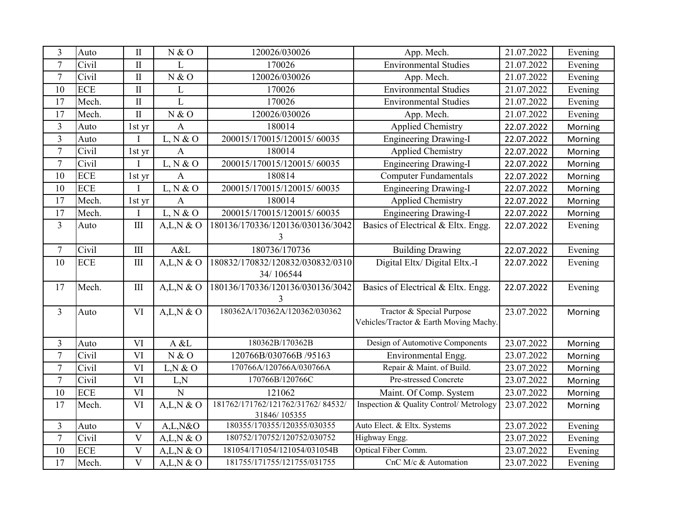| 3                     | Auto                | $\mathbf{I}$                | N & O                  | 120026/030026                                               | App. Mech.                                  | 21.07.2022               | Evening            |
|-----------------------|---------------------|-----------------------------|------------------------|-------------------------------------------------------------|---------------------------------------------|--------------------------|--------------------|
| $\overline{7}$        | Civil               | $\mathbf{I}$                | L                      | 170026                                                      | <b>Environmental Studies</b>                | 21.07.2022               | Evening            |
| $\overline{7}$        | Civil               | $\rm II$                    | N & O                  | 120026/030026                                               | App. Mech.                                  | 21.07.2022               | Evening            |
| 10                    | <b>ECE</b>          | $\mathbf{I}$                | L                      | 170026                                                      | <b>Environmental Studies</b>                | 21.07.2022               | Evening            |
| 17                    | Mech.               | $\mathbf{I}$                | L                      | 170026                                                      | <b>Environmental Studies</b>                | 21.07.2022               | Evening            |
| 17                    | Mech.               | $\mathbf{I}$                | N & O                  | 120026/030026                                               | App. Mech.                                  | 21.07.2022               | Evening            |
| $\mathfrak{Z}$        | Auto                | 1st yr                      | $\mathbf{A}$           | 180014                                                      | <b>Applied Chemistry</b>                    | 22.07.2022               | Morning            |
| 3                     | Auto                |                             | L, N & O               | 200015/170015/120015/60035                                  | <b>Engineering Drawing-I</b>                | 22.07.2022               | Morning            |
| $\tau$                | Civil               | 1st yr                      | $\overline{A}$         | 180014                                                      | <b>Applied Chemistry</b>                    | 22.07.2022               | Morning            |
| $\overline{7}$        | Civil               |                             | L, N & O               | 200015/170015/120015/60035                                  | <b>Engineering Drawing-I</b>                | 22.07.2022               | Morning            |
| 10                    | <b>ECE</b>          | 1st yr                      | $\mathbf{A}$           | 180814                                                      | <b>Computer Fundamentals</b>                | 22.07.2022               | Morning            |
| 10                    | <b>ECE</b>          |                             | L, N & O               | 200015/170015/120015/60035                                  | <b>Engineering Drawing-I</b>                | 22.07.2022               | Morning            |
| 17                    | Mech.               | 1st yr                      | A                      | 180014                                                      | <b>Applied Chemistry</b>                    | 22.07.2022               | Morning            |
| 17                    | Mech.               | $\mathbf{I}$                | L, N & O               | 200015/170015/120015/60035                                  | <b>Engineering Drawing-I</b>                | 22.07.2022               | Morning            |
| $\overline{3}$        | Auto                | III                         | A,L,N & O              | 180136/170336/120136/030136/3042                            | Basics of Electrical & Eltx. Engg.          | 22.07.2022               | Evening            |
|                       |                     |                             |                        | 3                                                           |                                             |                          |                    |
| $\tau$                | Civil               | III                         | A&L                    | 180736/170736                                               | <b>Building Drawing</b>                     | 22.07.2022               | Evening            |
| 10                    | <b>ECE</b>          | $\mathop{\rm III}\nolimits$ | A,L,N & O              | 180832/170832/120832/030832/0310                            | Digital Eltx/ Digital Eltx.-I               | 22.07.2022               | Evening            |
|                       |                     |                             |                        | 34/106544                                                   |                                             |                          |                    |
| 17                    | Mech.               | $\rm III$                   | A,L,N & O              | 180136/170336/120136/030136/3042                            | Basics of Electrical & Eltx. Engg.          | 22.07.2022               | Evening            |
|                       |                     |                             |                        | 3                                                           |                                             |                          |                    |
| $\overline{3}$        | Auto                | VI                          | A,L,N & O              | 180362A/170362A/120362/030362                               | Tractor & Special Purpose                   | 23.07.2022               | Morning            |
|                       |                     |                             |                        |                                                             | Vehicles/Tractor & Earth Moving Machy.      |                          |                    |
| 3                     | Auto                | VI                          | A & L                  | 180362B/170362B                                             | Design of Automotive Components             | 23.07.2022               | Morning            |
| $\tau$                | Civil               | VI                          | N & O                  | 120766B/030766B /95163                                      | Environmental Engg.                         | 23.07.2022               | Morning            |
| $\overline{7}$        | Civil               | VI                          | L,N & O                | 170766A/120766A/030766A                                     | Repair & Maint. of Build.                   | 23.07.2022               | Morning            |
| $\tau$                | Civil               | VI                          | L,N                    | 170766B/120766C                                             | Pre-stressed Concrete                       | 23.07.2022               | Morning            |
| 10                    | <b>ECE</b>          | VI                          | $\overline{N}$         | 121062                                                      | Maint. Of Comp. System                      | 23.07.2022               | Morning            |
| 17                    | Mech.               | VI                          | A,L,N & O              | 181762/171762/121762/31762/84532/                           | Inspection & Quality Control/ Metrology     | 23.07.2022               | Morning            |
|                       |                     |                             |                        | 31846/105355                                                |                                             |                          |                    |
| $\overline{3}$        | Auto                | V                           | A,L,N&O                | 180355/170355/120355/030355                                 | Auto Elect. & Eltx. Systems                 | 23.07.2022               | Evening            |
| $\tau$                |                     |                             |                        |                                                             |                                             |                          |                    |
|                       | Civil               | $\overline{\mathbf{V}}$     | A,L,N & O              | 180752/170752/120752/030752                                 | Highway Engg.                               | 23.07.2022               | Evening            |
| 10<br>$\overline{17}$ | <b>ECE</b><br>Mech. | V<br>$\mathbf{V}$           | A,L,N & O<br>A,L,N & O | 181054/171054/121054/031054B<br>181755/171755/121755/031755 | Optical Fiber Comm.<br>CnC M/c & Automation | 23.07.2022<br>23.07.2022 | Evening<br>Evening |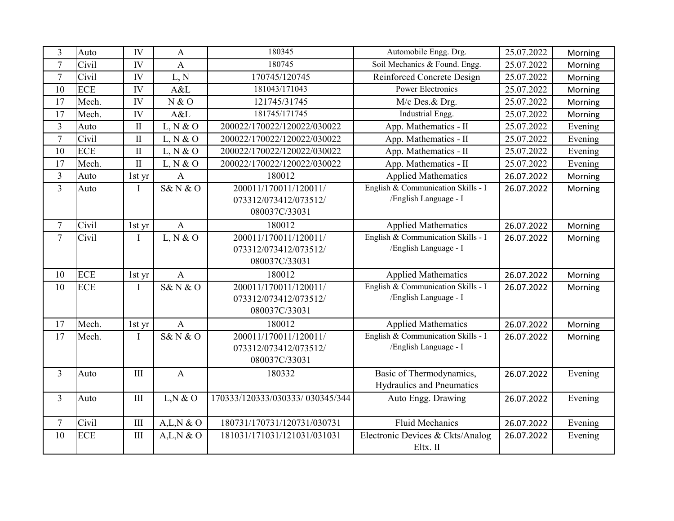| 3              | Auto       | IV                          | $\mathbf{A}$   | 180345                          | Automobile Engg. Drg.              | 25.07.2022 | Morning |
|----------------|------------|-----------------------------|----------------|---------------------------------|------------------------------------|------------|---------|
| $\overline{7}$ | Civil      | IV                          | A              | 180745                          | Soil Mechanics & Found. Engg.      | 25.07.2022 | Morning |
| $\tau$         | Civil      | IV                          | L, N           | 170745/120745                   | Reinforced Concrete Design         | 25.07.2022 | Morning |
| 10             | <b>ECE</b> | IV                          | A&L            | 181043/171043                   | <b>Power Electronics</b>           | 25.07.2022 | Morning |
| 17             | Mech.      | IV                          | N & O          | 121745/31745                    | M/c Des.& Drg.                     | 25.07.2022 | Morning |
| 17             | Mech.      | IV                          | A&L            | 181745/171745                   | Industrial Engg.                   | 25.07.2022 | Morning |
| $\overline{3}$ | Auto       | $\mathbf{I}$                | L, N & O       | 200022/170022/120022/030022     | App. Mathematics - II              | 25.07.2022 | Evening |
| $\overline{7}$ | Civil      | $\mathbf{I}$                | L, N & O       | 200022/170022/120022/030022     | App. Mathematics - II              | 25.07.2022 | Evening |
| 10             | <b>ECE</b> | $\mathbf{I}$                | L, N & O       | 200022/170022/120022/030022     | App. Mathematics - II              | 25.07.2022 | Evening |
| 17             | Mech.      | $\rm II$                    | L, N & O       | 200022/170022/120022/030022     | App. Mathematics - II              | 25.07.2022 | Evening |
| $\overline{3}$ | Auto       | 1st yr                      | $\mathbf{A}$   | 180012                          | <b>Applied Mathematics</b>         | 26.07.2022 | Morning |
| 3              | Auto       | T                           | S&N&O          | 200011/170011/120011/           | English & Communication Skills - I | 26.07.2022 | Morning |
|                |            |                             |                | 073312/073412/073512/           | /English Language - I              |            |         |
|                |            |                             |                | 080037C/33031                   |                                    |            |         |
| $\tau$         | Civil      | 1st yr                      | $\mathbf{A}$   | 180012                          | <b>Applied Mathematics</b>         | 26.07.2022 | Morning |
| $\overline{7}$ | Civil      | T                           | L, N & O       | 200011/170011/120011/           | English & Communication Skills - I | 26.07.2022 | Morning |
|                |            |                             |                | 073312/073412/073512/           | /English Language - I              |            |         |
|                |            |                             |                | 080037C/33031                   |                                    |            |         |
| 10             | <b>ECE</b> | 1st yr                      | $\overline{A}$ | 180012                          | <b>Applied Mathematics</b>         | 26.07.2022 | Morning |
| 10             | <b>ECE</b> | T                           | S&N&O          | 200011/170011/120011/           | English & Communication Skills - I | 26.07.2022 | Morning |
|                |            |                             |                | 073312/073412/073512/           | /English Language - I              |            |         |
|                |            |                             |                | 080037C/33031                   |                                    |            |         |
| 17             | Mech.      | 1st yr                      | $\overline{A}$ | 180012                          | <b>Applied Mathematics</b>         | 26.07.2022 | Morning |
| 17             | Mech.      | T                           | S&N&O          | 200011/170011/120011/           | English & Communication Skills - I | 26.07.2022 | Morning |
|                |            |                             |                | 073312/073412/073512/           | /English Language - I              |            |         |
|                |            |                             |                | 080037C/33031                   |                                    |            |         |
| $\overline{3}$ | Auto       | $\mathop{\rm III}\nolimits$ | $\mathbf{A}$   | 180332                          | Basic of Thermodynamics,           | 26.07.2022 | Evening |
|                |            |                             |                |                                 | Hydraulics and Pneumatics          |            |         |
| 3              | Auto       | $\quad \text{III}$          | L, N & O       | 170333/120333/030333/030345/344 | Auto Engg. Drawing                 | 26.07.2022 | Evening |
|                |            |                             |                |                                 |                                    |            |         |
| $\tau$         | Civil      | III                         | A,L,N & O      | 180731/170731/120731/030731     | <b>Fluid Mechanics</b>             | 26.07.2022 | Evening |
| 10             | <b>ECE</b> | $\rm III$                   | A,L,N & O      | 181031/171031/121031/031031     | Electronic Devices & Ckts/Analog   | 26.07.2022 | Evening |
|                |            |                             |                |                                 | Eltx. II                           |            |         |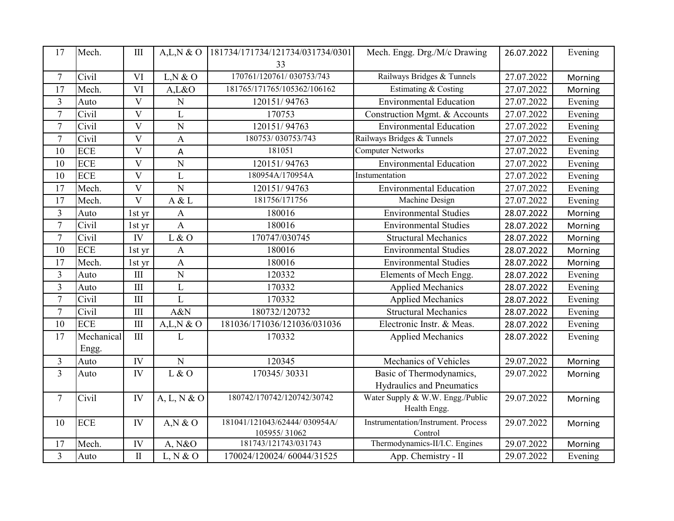| 17             | Mech.      | III                         | A,L,N & O      | 181734/171734/121734/031734/0301 | Mech. Engg. Drg./M/c Drawing        | 26.07.2022 | Evening |
|----------------|------------|-----------------------------|----------------|----------------------------------|-------------------------------------|------------|---------|
|                |            |                             |                | 33                               |                                     |            |         |
| $\tau$         | Civil      | VI                          | L, N & O       | 170761/120761/030753/743         | Railways Bridges & Tunnels          | 27.07.2022 | Morning |
| 17             | Mech.      | VI                          | A,L&O          | 181765/171765/105362/106162      | Estimating & Costing                | 27.07.2022 | Morning |
| $\overline{3}$ | Auto       | V                           | $\mathbf N$    | 120151/94763                     | <b>Environmental Education</b>      | 27.07.2022 | Evening |
| $\tau$         | Civil      | V                           | L              | 170753                           | Construction Mgmt. & Accounts       | 27.07.2022 | Evening |
| $\overline{7}$ | Civil      | $\overline{\mathrm{V}}$     | $\overline{N}$ | 120151/94763                     | <b>Environmental Education</b>      | 27.07.2022 | Evening |
| $\overline{7}$ | Civil      | $\overline{\mathbf{V}}$     | A              | 180753/030753/743                | Railways Bridges & Tunnels          | 27.07.2022 | Evening |
| 10             | <b>ECE</b> | $\overline{\mathbf{V}}$     | A              | 181051                           | <b>Computer Networks</b>            | 27.07.2022 | Evening |
| 10             | <b>ECE</b> | V                           | $\overline{N}$ | 120151/94763                     | <b>Environmental Education</b>      | 27.07.2022 | Evening |
| 10             | <b>ECE</b> | $\overline{\mathbf{V}}$     | $\mathbf{L}$   | 180954A/170954A                  | Instumentation                      | 27.07.2022 | Evening |
| 17             | Mech.      | $\overline{\mathrm{V}}$     | $\overline{N}$ | 120151/94763                     | <b>Environmental Education</b>      | 27.07.2022 | Evening |
| 17             | Mech.      | $\overline{\mathbf{V}}$     | A & L          | 181756/171756                    | Machine Design                      | 27.07.2022 | Evening |
| 3              | Auto       | 1st yr                      | $\mathbf{A}$   | 180016                           | <b>Environmental Studies</b>        | 28.07.2022 | Morning |
| $\overline{7}$ | Civil      | 1st yr                      | $\mathbf{A}$   | 180016                           | <b>Environmental Studies</b>        | 28.07.2022 | Morning |
| $\tau$         | Civil      | IV                          | $L$ & O        | 170747/030745                    | <b>Structural Mechanics</b>         | 28.07.2022 | Morning |
| 10             | <b>ECE</b> | 1st yr                      | $\mathbf{A}$   | 180016                           | <b>Environmental Studies</b>        | 28.07.2022 | Morning |
| 17             | Mech.      | 1st yr                      | A              | 180016                           | <b>Environmental Studies</b>        | 28.07.2022 | Morning |
| 3              | Auto       | III                         | $\overline{N}$ | 120332                           | Elements of Mech Engg.              | 28.07.2022 | Evening |
| $\overline{3}$ | Auto       | $\mathop{\rm III}$          | $\mathbf L$    | 170332                           | <b>Applied Mechanics</b>            | 28.07.2022 | Evening |
| $\overline{7}$ | Civil      | $\mathop{\rm III}\nolimits$ | $\mathbf{L}$   | 170332                           | <b>Applied Mechanics</b>            | 28.07.2022 | Evening |
| $\overline{7}$ | Civil      | $\mathop{\rm III}\nolimits$ | A&N            | 180732/120732                    | <b>Structural Mechanics</b>         | 28.07.2022 | Evening |
| 10             | <b>ECE</b> | $\mathop{\rm III}\nolimits$ | A,L,N & O      | 181036/171036/121036/031036      | Electronic Instr. & Meas.           | 28.07.2022 | Evening |
| 17             | Mechanical | $\mathop{\rm III}$          | L              | 170332                           | <b>Applied Mechanics</b>            | 28.07.2022 | Evening |
|                | Engg.      |                             |                |                                  |                                     |            |         |
| 3              | Auto       | IV                          | $\overline{N}$ | 120345                           | Mechanics of Vehicles               | 29.07.2022 | Morning |
| $\overline{3}$ | Auto       | IV                          | L & O          | 170345/30331                     | Basic of Thermodynamics,            | 29.07.2022 | Morning |
|                |            |                             |                |                                  | Hydraulics and Pneumatics           |            |         |
| $\tau$         | Civil      | IV                          | A, L, N & O    | 180742/170742/120742/30742       | Water Supply & W.W. Engg./Public    | 29.07.2022 | Morning |
|                |            |                             |                |                                  | Health Engg.                        |            |         |
| 10             | <b>ECE</b> | IV                          | $A,N \& O$     | 181041/121043/62444/030954A/     | Instrumentation/Instrument. Process | 29.07.2022 | Morning |
|                |            |                             |                | 105955/31062                     | Control                             |            |         |
| 17             | Mech.      | IV                          | A, N&O         | 181743/121743/031743             | Thermodynamics-II/I.C. Engines      | 29.07.2022 | Morning |
| $\overline{3}$ | Auto       | $\rm II$                    | L, N & O       | 170024/120024/60044/31525        | App. Chemistry - II                 | 29.07.2022 | Evening |